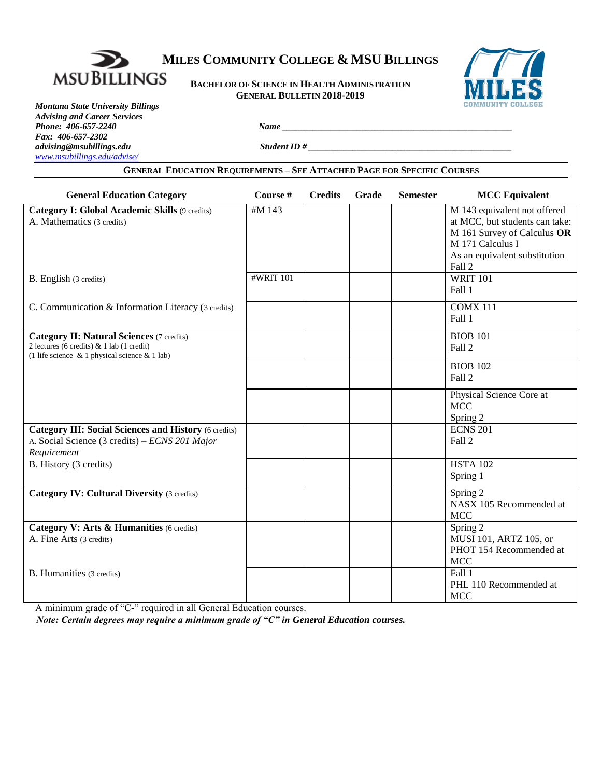

# **MILES COMMUNITY COLLEGE & MSU BILLINGS**

**BACHELOR OF SCIENCE IN HEALTH ADMINISTRATION GENERAL BULLETIN 2018-2019**



*Montana State University Billings Advising and Career Services Phone: 406-657-2240 Name \_\_\_\_\_\_\_\_\_\_\_\_\_\_\_\_\_\_\_\_\_\_\_\_\_\_\_\_\_\_\_\_\_\_\_\_\_\_\_\_\_\_\_\_\_\_\_\_\_\_\_\_ Fax: 406-657-2302 [www.msubillings.edu/advise/](http://www.msubillings.edu/advise/)*

*advising@msubillings.edu Student ID # \_\_\_\_\_\_\_\_\_\_\_\_\_\_\_\_\_\_\_\_\_\_\_\_\_\_\_\_\_\_\_\_\_\_\_\_\_\_\_\_\_\_\_\_\_\_*

# **GENERAL EDUCATION REQUIREMENTS – SEE ATTACHED PAGE FOR SPECIFIC COURSES**

| <b>General Education Category</b>                                                                                                                    | Course #  | <b>Credits</b> | Grade | <b>Semester</b> | <b>MCC</b> Equivalent                                                                                                                                        |
|------------------------------------------------------------------------------------------------------------------------------------------------------|-----------|----------------|-------|-----------------|--------------------------------------------------------------------------------------------------------------------------------------------------------------|
| Category I: Global Academic Skills (9 credits)<br>A. Mathematics (3 credits)                                                                         | #M 143    |                |       |                 | M 143 equivalent not offered<br>at MCC, but students can take:<br>M 161 Survey of Calculus OR<br>M 171 Calculus I<br>As an equivalent substitution<br>Fall 2 |
| B. English (3 credits)                                                                                                                               | #WRIT 101 |                |       |                 | WRIT $101$<br>Fall 1                                                                                                                                         |
| C. Communication & Information Literacy (3 credits)                                                                                                  |           |                |       |                 | COMX 111<br>Fall 1                                                                                                                                           |
| <b>Category II: Natural Sciences (7 credits)</b><br>2 lectures (6 credits) & 1 lab (1 credit)<br>(1 life science $\&$ 1 physical science $\&$ 1 lab) |           |                |       |                 | <b>BIOB 101</b><br>Fall 2                                                                                                                                    |
|                                                                                                                                                      |           |                |       |                 | <b>BIOB 102</b><br>Fall 2                                                                                                                                    |
|                                                                                                                                                      |           |                |       |                 | Physical Science Core at<br><b>MCC</b><br>Spring 2                                                                                                           |
| <b>Category III: Social Sciences and History (6 credits)</b><br>A. Social Science (3 credits) – ECNS 201 Major<br>Requirement                        |           |                |       |                 | <b>ECNS 201</b><br>Fall 2                                                                                                                                    |
| B. History (3 credits)                                                                                                                               |           |                |       |                 | <b>HSTA 102</b><br>Spring 1                                                                                                                                  |
| <b>Category IV: Cultural Diversity (3 credits)</b>                                                                                                   |           |                |       |                 | Spring 2<br>NASX 105 Recommended at<br><b>MCC</b>                                                                                                            |
| Category V: Arts & Humanities (6 credits)<br>A. Fine Arts (3 credits)                                                                                |           |                |       |                 | Spring 2<br>MUSI 101, ARTZ 105, or<br>PHOT 154 Recommended at<br><b>MCC</b>                                                                                  |
| B. Humanities (3 credits)<br>C(1)<br>$\cdots$<br>11 <sub>0</sub><br>1.12.1                                                                           |           |                |       |                 | Fall 1<br>PHL 110 Recommended at<br><b>MCC</b>                                                                                                               |

A minimum grade of "C-" required in all General Education courses.

*Note: Certain degrees may require a minimum grade of "C" in General Education courses.*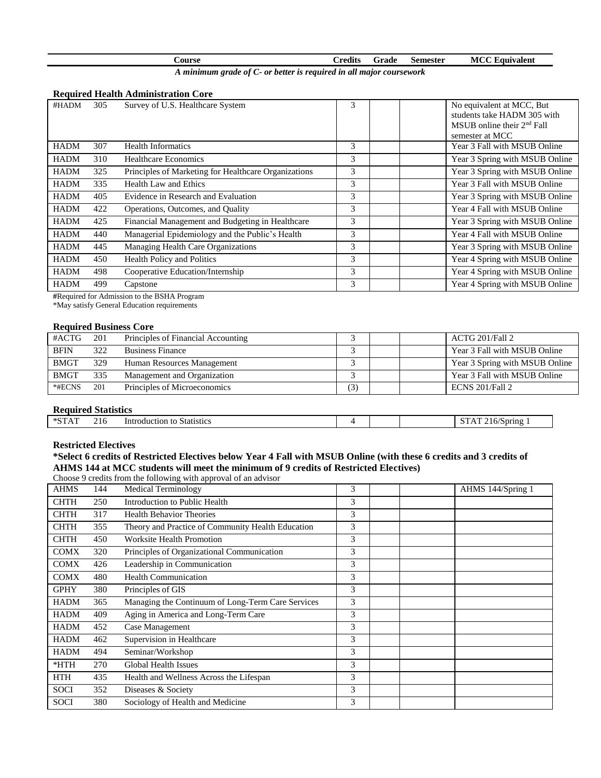| ourse |  | - credits | Grade | Semester | MCC<br>Lauivalent |
|-------|--|-----------|-------|----------|-------------------|
|       |  |           |       |          |                   |

*A minimum grade of C- or better is required in all major coursework*

## **Required Health Administration Core**

| #HADM       | 305 | Survey of U.S. Healthcare System                     | 3 | No equivalent at MCC, But<br>students take HADM 305 with<br>$MSUB$ online their $2nd$ Fall<br>semester at MCC |
|-------------|-----|------------------------------------------------------|---|---------------------------------------------------------------------------------------------------------------|
| <b>HADM</b> | 307 | <b>Health Informatics</b>                            | 3 | Year 3 Fall with MSUB Online                                                                                  |
| <b>HADM</b> | 310 | Healthcare Economics                                 | 3 | Year 3 Spring with MSUB Online                                                                                |
| <b>HADM</b> | 325 | Principles of Marketing for Healthcare Organizations | 3 | Year 3 Spring with MSUB Online                                                                                |
| <b>HADM</b> | 335 | Health Law and Ethics                                | 3 | Year 3 Fall with MSUB Online                                                                                  |
| <b>HADM</b> | 405 | Evidence in Research and Evaluation                  | 3 | Year 3 Spring with MSUB Online                                                                                |
| <b>HADM</b> | 422 | Operations, Outcomes, and Quality                    | 3 | Year 4 Fall with MSUB Online                                                                                  |
| <b>HADM</b> | 425 | Financial Management and Budgeting in Healthcare     | 3 | Year 3 Spring with MSUB Online                                                                                |
| <b>HADM</b> | 440 | Managerial Epidemiology and the Public's Health      | 3 | Year 4 Fall with MSUB Online                                                                                  |
| <b>HADM</b> | 445 | Managing Health Care Organizations                   | 3 | Year 3 Spring with MSUB Online                                                                                |
| <b>HADM</b> | 450 | Health Policy and Politics                           | 3 | Year 4 Spring with MSUB Online                                                                                |
| <b>HADM</b> | 498 | Cooperative Education/Internship                     | 3 | Year 4 Spring with MSUB Online                                                                                |
| <b>HADM</b> | 499 | Capstone                                             | 3 | Year 4 Spring with MSUB Online                                                                                |

**#**Required for Admission to the BSHA Program \*May satisfy General Education requirements

# **Required Business Core**

| #ACTG       | 201 | Principles of Financial Accounting |     |  | ACTG 201/Fall 2                |
|-------------|-----|------------------------------------|-----|--|--------------------------------|
| <b>BFIN</b> | 322 | <b>Business Finance</b>            |     |  | Year 3 Fall with MSUB Online   |
| <b>BMGT</b> | 329 | Human Resources Management         |     |  | Year 3 Spring with MSUB Online |
| <b>BMGT</b> | 335 | Management and Organization        |     |  | Year 3 Fall with MSUB Online   |
| *#ECNS      | 201 | Principles of Microeconomics       | (3) |  | ECNS 201/Fall 2                |

## **Required Statistics**

| $\times$ C | $\sim$ 1.0 | וואר<br>$^{\prime\prime}$ |  |  |
|------------|------------|---------------------------|--|--|
|            |            |                           |  |  |

#### **Restricted Electives**

# **\*Select 6 credits of Restricted Electives below Year 4 Fall with MSUB Online (with these 6 credits and 3 credits of AHMS 144 at MCC students will meet the minimum of 9 credits of Restricted Electives)**

Choose 9 credits from the following with approval of an advisor

| <b>AHMS</b> | 144 | <b>Medical Terminology</b>                        | 3 |  | AHMS 144/Spring 1 |
|-------------|-----|---------------------------------------------------|---|--|-------------------|
| <b>CHTH</b> | 250 | Introduction to Public Health                     | 3 |  |                   |
| <b>CHTH</b> | 317 | <b>Health Behavior Theories</b>                   | 3 |  |                   |
| <b>CHTH</b> | 355 | Theory and Practice of Community Health Education | 3 |  |                   |
| <b>CHTH</b> | 450 | <b>Worksite Health Promotion</b>                  | 3 |  |                   |
| <b>COMX</b> | 320 | Principles of Organizational Communication        | 3 |  |                   |
| <b>COMX</b> | 426 | Leadership in Communication                       | 3 |  |                   |
| <b>COMX</b> | 480 | <b>Health Communication</b>                       | 3 |  |                   |
| <b>GPHY</b> | 380 | Principles of GIS                                 | 3 |  |                   |
| <b>HADM</b> | 365 | Managing the Continuum of Long-Term Care Services | 3 |  |                   |
| <b>HADM</b> | 409 | Aging in America and Long-Term Care               | 3 |  |                   |
| <b>HADM</b> | 452 | Case Management                                   | 3 |  |                   |
| <b>HADM</b> | 462 | Supervision in Healthcare                         | 3 |  |                   |
| <b>HADM</b> | 494 | Seminar/Workshop                                  | 3 |  |                   |
| $*$ HTH     | 270 | <b>Global Health Issues</b>                       | 3 |  |                   |
| <b>HTH</b>  | 435 | Health and Wellness Across the Lifespan           | 3 |  |                   |
| <b>SOCI</b> | 352 | Diseases & Society                                | 3 |  |                   |
| <b>SOCI</b> | 380 | Sociology of Health and Medicine                  | 3 |  |                   |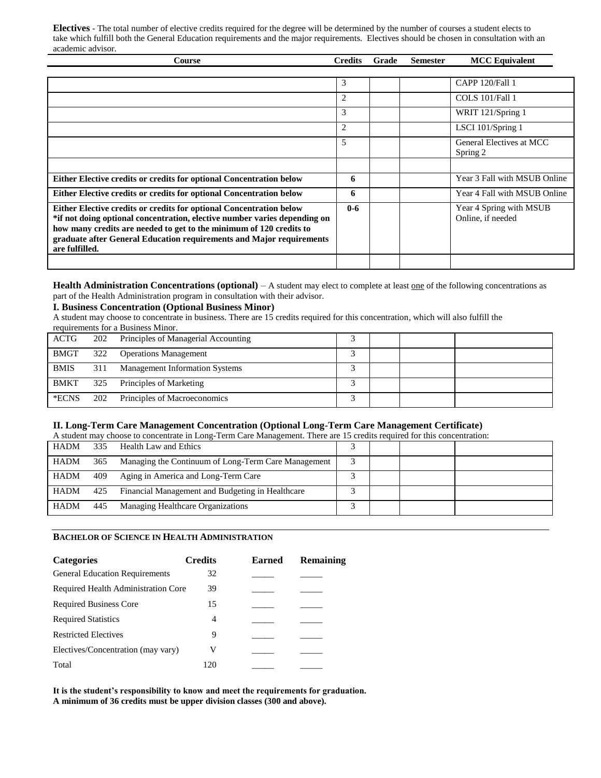**Electives** - The total number of elective credits required for the degree will be determined by the number of courses a student elects to take which fulfill both the General Education requirements and the major requirements. Electives should be chosen in consultation with an academic advisor.

| Course                                                                                                                                                                                                                                                                                                            | <b>Credits</b> | Grade | <b>Semester</b> | <b>MCC Equivalent</b>                        |
|-------------------------------------------------------------------------------------------------------------------------------------------------------------------------------------------------------------------------------------------------------------------------------------------------------------------|----------------|-------|-----------------|----------------------------------------------|
|                                                                                                                                                                                                                                                                                                                   |                |       |                 |                                              |
|                                                                                                                                                                                                                                                                                                                   | 3              |       |                 | CAPP 120/Fall 1                              |
|                                                                                                                                                                                                                                                                                                                   | 2              |       |                 | COLS 101/Fall 1                              |
|                                                                                                                                                                                                                                                                                                                   | 3              |       |                 | WRIT 121/Spring 1                            |
|                                                                                                                                                                                                                                                                                                                   | 2              |       |                 | LSCI 101/Spring 1                            |
|                                                                                                                                                                                                                                                                                                                   | 5              |       |                 | General Electives at MCC<br>Spring 2         |
|                                                                                                                                                                                                                                                                                                                   |                |       |                 |                                              |
| Either Elective credits or credits for optional Concentration below                                                                                                                                                                                                                                               | 6              |       |                 | Year 3 Fall with MSUB Online                 |
| Either Elective credits or credits for optional Concentration below                                                                                                                                                                                                                                               | 6              |       |                 | Year 4 Fall with MSUB Online                 |
| Either Elective credits or credits for optional Concentration below<br>*if not doing optional concentration, elective number varies depending on<br>how many credits are needed to get to the minimum of 120 credits to<br>graduate after General Education requirements and Major requirements<br>are fulfilled. | $0 - 6$        |       |                 | Year 4 Spring with MSUB<br>Online, if needed |
|                                                                                                                                                                                                                                                                                                                   |                |       |                 |                                              |

Health Administration Concentrations (optional) – A student may elect to complete at least one of the following concentrations as part of the Health Administration program in consultation with their advisor.

# **I. Business Concentration (Optional Business Minor)**

A student may choose to concentrate in business. There are 15 credits required for this concentration, which will also fulfill the requirements for a Business Minor.

| Tequitements for a Dusiness Million. |     |                                       |  |  |  |  |
|--------------------------------------|-----|---------------------------------------|--|--|--|--|
| ACTG                                 | 202 | Principles of Managerial Accounting   |  |  |  |  |
| <b>BMGT</b>                          | 322 | <b>Operations Management</b>          |  |  |  |  |
| <b>BMIS</b>                          | 311 | <b>Management Information Systems</b> |  |  |  |  |
| <b>BMKT</b>                          | 325 | Principles of Marketing               |  |  |  |  |
| *ECNS                                | 202 | Principles of Macroeconomics          |  |  |  |  |

# **II. Long-Term Care Management Concentration (Optional Long-Term Care Management Certificate)**

| A student may choose to concentrate in Long-Term Care Management. There are 15 credits required for this concentration: |     |                                                     |  |  |  |  |
|-------------------------------------------------------------------------------------------------------------------------|-----|-----------------------------------------------------|--|--|--|--|
| <b>HADM</b>                                                                                                             | 335 | Health Law and Ethics                               |  |  |  |  |
| <b>HADM</b>                                                                                                             | 365 | Managing the Continuum of Long-Term Care Management |  |  |  |  |
| <b>HADM</b>                                                                                                             | 409 | Aging in America and Long-Term Care                 |  |  |  |  |
| <b>HADM</b>                                                                                                             | 425 | Financial Management and Budgeting in Healthcare    |  |  |  |  |
| <b>HADM</b>                                                                                                             | 445 | Managing Healthcare Organizations                   |  |  |  |  |

#### **BACHELOR OF SCIENCE IN HEALTH ADMINISTRATION**

| <b>Categories</b>                     | <b>Credits</b> | <b>Earned</b> | <b>Remaining</b> |
|---------------------------------------|----------------|---------------|------------------|
| <b>General Education Requirements</b> | 32             |               |                  |
| Required Health Administration Core   | 39             |               |                  |
| <b>Required Business Core</b>         | 15             |               |                  |
| <b>Required Statistics</b>            | 4              |               |                  |
| <b>Restricted Electives</b>           | 9              |               |                  |
| Electives/Concentration (may vary)    | V              |               |                  |
| Total                                 | 120            |               |                  |

**It is the student's responsibility to know and meet the requirements for graduation. A minimum of 36 credits must be upper division classes (300 and above).**